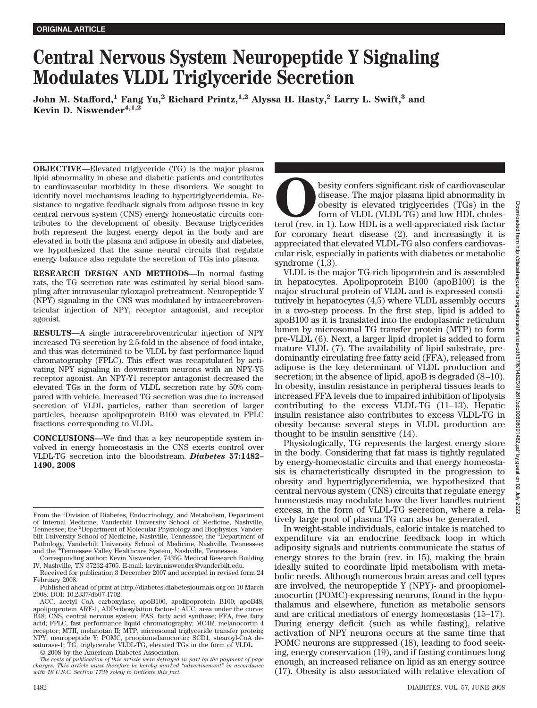# **Central Nervous System Neuropeptide Y Signaling Modulates VLDL Triglyceride Secretion**

**John M. Stafford,1 Fang Yu,2 Richard Printz,1,2 Alyssa H. Hasty,2 Larry L. Swift,3 and Kevin D. Niswender4,1,2**

**OBJECTIVE—**Elevated triglyceride (TG) is the major plasma lipid abnormality in obese and diabetic patients and contributes to cardiovascular morbidity in these disorders. We sought to identify novel mechanisms leading to hypertriglyceridemia. Resistance to negative feedback signals from adipose tissue in key central nervous system (CNS) energy homeostatic circuits contributes to the development of obesity. Because triglycerides both represent the largest energy depot in the body and are elevated in both the plasma and adipose in obesity and diabetes, we hypothesized that the same neural circuits that regulate energy balance also regulate the secretion of TGs into plasma.

**RESEARCH DESIGN AND METHODS—**In normal fasting rats, the TG secretion rate was estimated by serial blood sampling after intravascular tyloxapol pretreatment. Neuropeptide Y (NPY) signaling in the CNS was modulated by intracerebroventricular injection of NPY, receptor antagonist, and receptor agonist.

**RESULTS—**A single intracerebroventricular injection of NPY increased TG secretion by 2.5-fold in the absence of food intake, and this was determined to be VLDL by fast performance liquid chromatography (FPLC). This effect was recapitulated by activating NPY signaling in downstream neurons with an NPY-Y5 receptor agonist. An NPY-Y1 receptor antagonist decreased the elevated TGs in the form of VLDL secretion rate by 50% compared with vehicle. Increased TG secretion was due to increased secretion of VLDL particles, rather than secretion of larger particles, because apolipoprotein B100 was elevated in FPLC fractions corresponding to VLDL.

**CONCLUSIONS—**We find that a key neuropeptide system involved in energy homeostasis in the CNS exerts control over VLDL-TG secretion into the bloodstream. *Diabetes* **57:1482– 1490, 2008**

Corresponding author: Kevin Niswender, 7435G Medical Research Building IV, Nashville, TN 37232-4705. E-mail: kevin.niswender@vanderbilt.edu. Received for publication 3 December 2007 and accepted in revised form 24

February 2008.

Published ahead of print at http://diabetes.diabetesjournals.org on 10 March 2008. DOI: 10.2337/db07-1702.

ACC, acetyl CoA carboxylase; apoB100, apolipoprotein B100; apoB48, apolipoprotein ARF-1, ADP-ribosylation factor-1; AUC, area under the curve; B48; CNS, central nervous system; FAS, fatty acid synthase; FFA, free fatty acid; FPLC, fast performance liquid chromatography; MC4R, melanocortin 4 receptor; MTII, melanotan II; MTP, microsomal triglyceride transfer protein; NPY, neuropeptide Y; POMC, proopiomelanocortin; SCD1, stearoyl-CoA desaturase-1; TG, triglyceride; VLDL-TG, elevated TGs in the form of VLDL.

© 2008 by the American Diabetes Association.

**O**besity confers significant risk of cardiovascular disease. The major plasma lipid abnormality in obesity is elevated triglycerides (TGs) in the form of VLDL (VLDL-TG) and low HDL cholesterol (rev. in 1). Low HDL is a we disease. The major plasma lipid abnormality in obesity is elevated triglycerides (TGs) in the form of VLDL (VLDL-TG) and low HDL cholesfor coronary heart disease (2), and increasingly it is appreciated that elevated VLDL-TG also confers cardiovascular risk, especially in patients with diabetes or metabolic syndrome (1,3).

VLDL is the major TG-rich lipoprotein and is assembled in hepatocytes. Apolipoprotein B100 (apoB100) is the major structural protein of VLDL and is expressed constitutively in hepatocytes (4,5) where VLDL assembly occurs in a two-step process. In the first step, lipid is added to apoB100 as it is translated into the endoplasmic reticulum lumen by microsomal TG transfer protein (MTP) to form pre-VLDL (6). Next, a larger lipid droplet is added to form mature VLDL (7). The availability of lipid substrate, predominantly circulating free fatty acid (FFA), released from adipose is the key determinant of VLDL production and secretion; in the absence of lipid, apoB is degraded  $(8-10)$ . In obesity, insulin resistance in peripheral tissues leads to increased FFA levels due to impaired inhibition of lipolysis contributing to the excess VLDL-TG (11–13). Hepatic insulin resistance also contributes to excess VLDL-TG in obesity because several steps in VLDL production are thought to be insulin sensitive (14).

Physiologically, TG represents the largest energy store in the body. Considering that fat mass is tightly regulated by energy-homeostatic circuits and that energy homeostasis is characteristically disrupted in the progression to obesity and hypertriglyceridemia, we hypothesized that central nervous system (CNS) circuits that regulate energy homeostasis may modulate how the liver handles nutrient excess, in the form of VLDL-TG secretion, where a relatively large pool of plasma TG can also be generated.

In weight-stable individuals, caloric intake is matched to expenditure via an endocrine feedback loop in which adiposity signals and nutrients communicate the status of energy stores to the brain (rev. in 15), making the brain ideally suited to coordinate lipid metabolism with metabolic needs. Although numerous brain areas and cell types are involved, the neuropeptide Y (NPY)- and proopiomelanocortin (POMC)-expressing neurons, found in the hypothalamus and elsewhere, function as metabolic sensors and are critical mediators of energy homeostasis (15–17). During energy deficit (such as while fasting), relative activation of NPY neurons occurs at the same time that POMC neurons are suppressed (18), leading to food seeking, energy conservation (19), and if fasting continues long enough, an increased reliance on lipid as an energy source (17). Obesity is also associated with relative elevation of

From the <sup>1</sup>Division of Diabetes, Endocrinology, and Metabolism, Department of Internal Medicine, Vanderbilt University School of Medicine, Nashville, Tennessee; the <sup>2</sup>Department of Molecular Physiology and Biophysics, Vanderbilt University School of Medicine, Nashville, Tennessee; the <sup>3</sup>Department of Pathology, Vanderbilt University School of Medicine, Nashville, Tennessee; and the <sup>4</sup>Tennessee Valley Healthcare System, Nashville, Tennessee.

*The costs of publication of this article were defrayed in part by the payment of page charges. This article must therefore be hereby marked "advertisement" in accordance with 18 U.S.C. Section 1734 solely to indicate this fact.*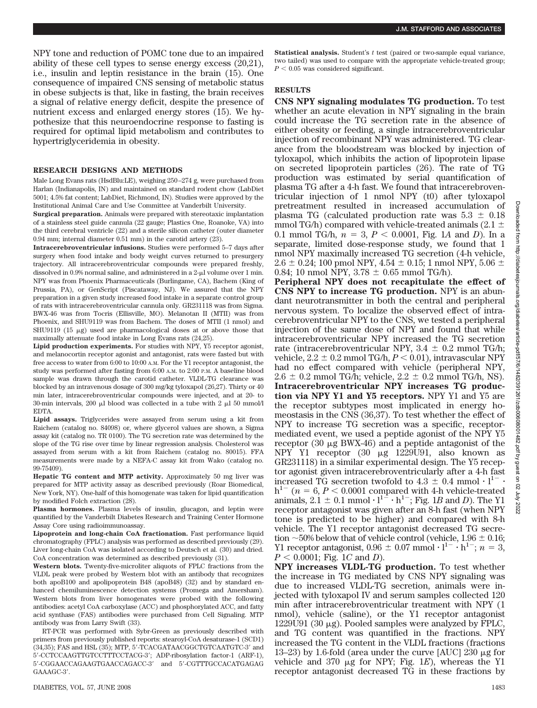NPY tone and reduction of POMC tone due to an impaired ability of these cell types to sense energy excess (20,21), i.e., insulin and leptin resistance in the brain (15). One consequence of impaired CNS sensing of metabolic status in obese subjects is that, like in fasting, the brain receives a signal of relative energy deficit, despite the presence of nutrient excess and enlarged energy stores (15). We hypothesize that this neuroendocrine response to fasting is required for optimal lipid metabolism and contributes to hypertriglyceridemia in obesity.

### **RESEARCH DESIGNS AND METHODS**

Male Long Evans rats (HsdBlu:LE), weighing 250 –274 g, were purchased from Harlan (Indianapolis, IN) and maintained on standard rodent chow (LabDiet 5001; 4.5% fat content; LabDiet, Richmond, IN). Studies were approved by the Institutional Animal Care and Use Committee at Vanderbilt University.

**Surgical preparation.** Animals were prepared with stereotaxic implantation of a stainless steel guide cannula (22 gauge; Plastics One, Roanoke, VA) into the third cerebral ventricle (22) and a sterile silicon catheter (outer diameter 0.94 mm; internal diameter 0.51 mm) in the carotid artery (23).

**Intracerebroventricular infusions.** Studies were performed 5–7 days after surgery when food intake and body weight curves returned to presurgery trajectory. All intracerebroventricular compounds were prepared freshly, dissolved in 0.9% normal saline, and administered in a 2-µ volume over 1 min. NPY was from Phoenix Pharmaceuticals (Burlingame, CA), Bachem (King of Prussia, PA), or GenScript (Piscataway, NJ). We assured that the NPY preparation in a given study increased food intake in a separate control group of rats with intracerebroventricular cannula only. GR231118 was from Sigma. BWX-46 was from Tocris (Ellisville, MO). Melanotan II (MTII) was from Phoenix, and SHU9119 was from Bachem. The doses of MTII (1 nmol) and SHU9119 (15  $\mu$ g) used are pharmacological doses at or above those that maximally attenuate food intake in Long Evans rats (24,25).

**Lipid production experiments.** For studies with NPY, Y5 receptor agonist, and melanocortin receptor agonist and antagonist, rats were fasted but with free access to water from 6:00 to 10:00 A.M. For the Y1 receptor antagonist, the study was performed after fasting from 6:00 A.M. to 2:00 P.M. A baseline blood sample was drawn through the carotid catheter. VLDL-TG clearance was blocked by an intravenous dosage of 300 mg/kg tyloxapol (26,27). Thirty or 40 min later, intracerebroventricular compounds were injected, and at 20- to 30-min intervals, 200  $\mu$ l blood was collected in a tube with 2  $\mu$ l 50 mmol/l EDTA.

**Lipid assays.** Triglycerides were assayed from serum using a kit from Raichem (catalog no. 84098) or, where glycerol values are shown, a Sigma assay kit (catalog no. TR 0100). The TG secretion rate was determined by the slope of the TG rise over time by linear regression analysis. Cholesterol was assayed from serum with a kit from Raichem (catalog no. 80015). FFA measurements were made by a NEFA-C assay kit from Wako (catalog no. 99-75409).

**Hepatic TG content and MTP activity.** Approximately 50 mg liver was prepared for MTP activity assay as described previously (Roar Biomedical, New York, NY). One-half of this homogenate was taken for lipid quantification by modified Folch extraction (28).

**Plasma hormones.** Plasma levels of insulin, glucagon, and leptin were quantified by the Vanderbilt Diabetes Research and Training Center Hormone Assay Core using radioimmunoassay.

**Lipoprotein and long-chain CoA fractionation.** Fast performance liquid chromatography (FPLC) analysis was performed as described previously (29). Liver long-chain CoA was isolated according to Deutsch et al. (30) and dried. CoA concentration was determined as described previously (31).

**Western blots.** Twenty-five-microliter aliquots of FPLC fractions from the VLDL peak were probed by Western blot with an antibody that recognizes both apoB100 and apolipoprotein B48 (apoB48) (32) and by standard enhanced chemiluminescence detection systems (Promega and Amersham). Western blots from liver homogenates were probed with the following antibodies: acetyl CoA carboxylase (ACC) and phosphorylated ACC, and fatty acid synthase (FAS) antibodies were purchased from Cell Signaling. MTP antibody was from Larry Swift (33).

RT-PCR was performed with Sybr-Green as previously described with primers from previously published reports: stearoyl-CoA desaturase-1 (SCD1) (34,35); FAS and HSL (35); MTP, 5'-TCACGATAACGGCTGTCAATGTC-3' and 5'-CCTCCAAGTTGTCCTTTCCTACG-3'; ADP-ribosylation factor-1 (ARF-1), 5'-CGGAACCAGAAGTGAACCAGACC-3' and 5'-CGTTTGCCACATGAGAG GAAAGC-3'.

**Statistical analysis.** Student's *t* test (paired or two-sample equal variance, two tailed) was used to compare with the appropriate vehicle-treated group;  $P < 0.05$  was considered significant.

# **RESULTS**

**CNS NPY signaling modulates TG production.** To test whether an acute elevation in NPY signaling in the brain could increase the TG secretion rate in the absence of either obesity or feeding, a single intracerebroventricular injection of recombinant NPY was administered. TG clearance from the bloodstream was blocked by injection of tyloxapol, which inhibits the action of lipoprotein lipase on secreted lipoprotein particles (26). The rate of TG production was estimated by serial quantification of plasma TG after a 4-h fast. We found that intracerebroventricular injection of 1 nmol NPY (t0) after tyloxapol pretreatment resulted in increased accumulation of plasma TG (calculated production rate was  $5.3 \pm 0.18$ mmol TG/h) compared with vehicle-treated animals  $(2.1 \pm$ 0.1 mmol TG/h,  $n = 3, P < 0.0001$ , Fig. 1A and *D*). In a separate, limited dose-response study, we found that 1 nmol NPY maximally increased TG secretion (4-h vehicle,  $2.6 \pm 0.24$ ; 100 pmol NPY,  $4.54 \pm 0.15$ ; 1 nmol NPY,  $5.06 \pm 0.05$ 0.84; 10 nmol NPY,  $3.78 \pm 0.65$  mmol TG/h).

**Peripheral NPY does not recapitulate the effect of CNS NPY to increase TG production.** NPY is an abundant neurotransmitter in both the central and peripheral nervous system. To localize the observed effect of intracerebroventricular NPY to the CNS, we tested a peripheral injection of the same dose of NPY and found that while intracerebroventricular NPY increased the TG secretion rate (intracerebroventricular NPY,  $3.4 \pm 0.2$  mmol TG/h; vehicle,  $2.2 \pm 0.2$  mmol TG/h,  $P < 0.01$ ), intravascular NPY had no effect compared with vehicle (peripheral NPY,  $2.6 \pm 0.2$  mmol TG/h; vehicle,  $2.2 \pm 0.2$  mmol TG/h, NS). **Intracerebroventricular NPY increases TG production via NPY Y1 and Y5 receptors.** NPY Y1 and Y5 are the receptor subtypes most implicated in energy homeostasis in the CNS (36,37). To test whether the effect of NPY to increase TG secretion was a specific, receptormediated event, we used a peptide agonist of the NPY Y5 receptor  $(30 \mu g$  BWX-46) and a peptide antagonist of the NPY Y1 receptor  $(30 \mu g) 1229U91$ , also known as GR231118) in a similar experimental design. The Y5 receptor agonist given intracerebroventricularly after a 4-h fast increased TG secretion twofold to  $4.3 \pm 0.4$  mmol  $\cdot$  l<sup>1-</sup>  $h^{1-}$  ( $n = 6, P < 0.0001$  compared with 4-h vehicle-treated animals,  $2.1 \pm 0.1$  mmol  $\cdot$  l<sup>1 $=$ </sup>  $\cdot$  h<sup>1 $=$ </sup>; Fig. 1*B* and *D*). The Y1 receptor antagonist was given after an 8-h fast (when NPY tone is predicted to be higher) and compared with 8-h vehicle. The Y1 receptor antagonist decreased TG secretion  $\sim$  50% below that of vehicle control (vehicle, 1.96  $\pm$  0.16; Y1 receptor antagonist,  $0.96 \pm 0.07$  mmol  $\cdot$  l<sup>1-</sup>  $\cdot$  h<sup>1-</sup>;  $n = 3$ ,  $P < 0.0001$ ; Fig. 1*C* and *D*).

**NPY increases VLDL-TG production.** To test whether the increase in TG mediated by CNS NPY signaling was due to increased VLDL-TG secretion, animals were injected with tyloxapol IV and serum samples collected 120 min after intracerebroventricular treatment with NPY (1 nmol), vehicle (saline), or the Y1 receptor antagonist 1229U91 (30  $\mu$ g). Pooled samples were analyzed by FPLC, and TG content was quantified in the fractions. NPY increased the TG content in the VLDL fractions (fractions 13–23) by 1.6-fold (area under the curve [AUC]  $230 \mu$ g for vehicle and 370  $\mu$ g for NPY; Fig. 1*E*), whereas the Y1 receptor antagonist decreased TG in these fractions by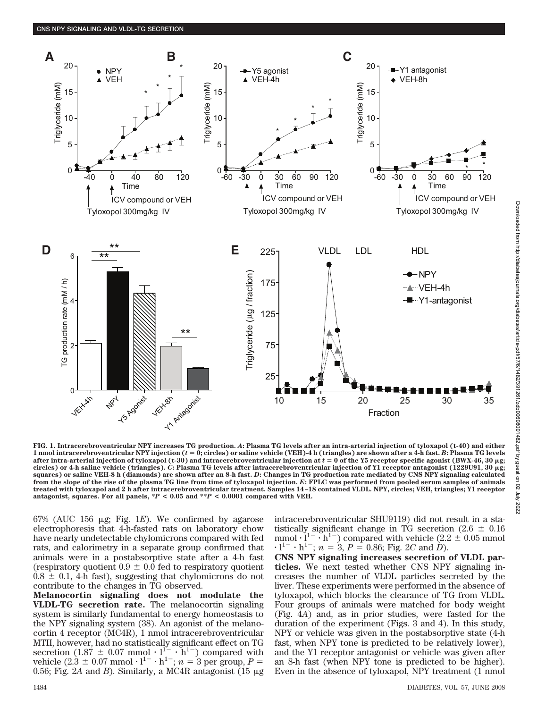

**FIG. 1. Intracerebroventricular NPY increases TG production.** *A***: Plasma TG levels after an intra-arterial injection of tyloxapol (t-40) and either 1** nmol intracerebroventricular NPY injection ( $t = 0$ ; circles) or saline vehicle (VEH)-4 h (triangles) are shown after a 4-h fast. B: Plasma TG levels after intra-arterial injection of tyloxapol (t-30) and intracerebroventricular injection at  $t$  = 0 of the Y5 receptor specific agonist (BWX-46, 30 µg; **circles) or 4-h saline vehicle (triangles).** *C***: Plasma TG levels after intracerebroventricular injection of Y1 receptor antagonist (1229U91, 30** -**g; squares) or saline VEH-8 h (diamonds) are shown after an 8-h fast.** *D***: Changes in TG production rate mediated by CNS NPY signaling calculated from the slope of the rise of the plasma TG line from time of tyloxapol injection.** *E***: FPLC was performed from pooled serum samples of animals treated with tyloxapol and 2 h after intracerebroventricular treatment. Samples 14–18 contained VLDL. NPY, circles; VEH, triangles; Y1 receptor** antagonist, squares. For all panels,  $*P < 0.05$  and  $*P < 0.0001$  compared with VEH.

 $67\%$  (AUC 156  $\mu$ g; Fig. 1*E*). We confirmed by agarose electrophoresis that 4-h-fasted rats on laboratory chow have nearly undetectable chylomicrons compared with fed rats, and calorimetry in a separate group confirmed that animals were in a postabsorptive state after a 4-h fast (respiratory quotient  $0.9 \pm 0.0$  fed to respiratory quotient  $0.8 \pm 0.1$ , 4-h fast), suggesting that chylomicrons do not contribute to the changes in TG observed.

**Melanocortin signaling does not modulate the VLDL-TG secretion rate.** The melanocortin signaling system is similarly fundamental to energy homeostasis to the NPY signaling system (38). An agonist of the melanocortin 4 receptor (MC4R), 1 nmol intracerebroventricular MTII, however, had no statistically significant effect on TG secretion  $(1.87 \pm 0.07 \text{ mmol} \cdot l^{1} - h^{1} )$  compared with vehicle  $(2.\overline{3} \pm 0.07 \text{ mmol} \cdot l^{1-} \cdot h^{1-}; n = 3 \text{ per group}, P =$ 0.56; Fig. 2A and *B*). Similarly, a MC4R antagonist  $(15 \mu g)$  intracerebroventricular SHU9119) did not result in a statistically significant change in TG secretion (2.6  $\pm$  0.16 mmol  $\cdot$  l<sup>1-</sup>  $\cdot$  h<sup>1-</sup>) compared with vehicle (2.2  $\pm$  0.05 mmol  $\cdot$  1<sup>1-</sup>  $\cdot$  h<sup>1-</sup>; *n* = 3, *P* = 0.86; Fig. 2*C* and *D*).

**CNS NPY signaling increases secretion of VLDL particles.** We next tested whether CNS NPY signaling increases the number of VLDL particles secreted by the liver. These experiments were performed in the absence of tyloxapol, which blocks the clearance of TG from VLDL. Four groups of animals were matched for body weight (Fig. 4*A*) and, as in prior studies, were fasted for the duration of the experiment (Figs. 3 and 4). In this study, NPY or vehicle was given in the postabsorptive state (4-h fast, when NPY tone is predicted to be relatively lower), and the Y1 receptor antagonist or vehicle was given after an 8-h fast (when NPY tone is predicted to be higher). Even in the absence of tyloxapol, NPY treatment (1 nmol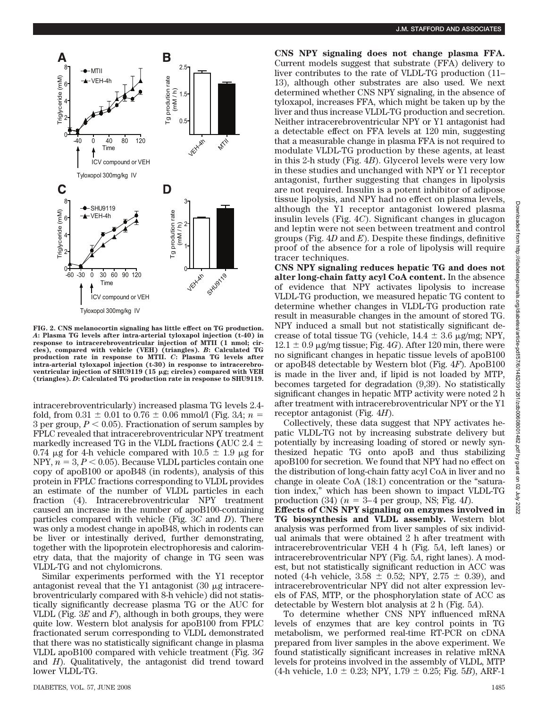

**FIG. 2. CNS melanocortin signaling has little effect on TG production.** *A***: Plasma TG levels after intra-arterial tyloxapol injection (t-40) in response to intracerebroventricular injection of MTII (1 nmol; circles), compared with vehicle (VEH) (triangles).** *B***: Calculated TG production rate in response to MTII.** *C***: Plasma TG levels after intra-arterial tyloxapol injection (t-30) in response to intracerebroventricular injection of SHU9119 (15 μg; circles) compared with VEH (triangles).** *D***: Calculated TG production rate in response to SHU9119.**

intracerebroventricularly) increased plasma TG levels 2.4 fold, from  $0.31 \pm 0.01$  to  $0.76 \pm 0.06$  mmol/l (Fig. 3*A*; *n* = 3 per group,  $P < 0.05$ ). Fractionation of serum samples by FPLC revealed that intracerebroventricular NPY treatment markedly increased TG in the VLDL fractions **(**AUC 2.4 0.74  $\mu$ g for 4-h vehicle compared with 10.5  $\pm$  1.9  $\mu$ g for NPY,  $n = 3, P < 0.05$ . Because VLDL particles contain one copy of apoB100 or apoB48 (in rodents), analysis of this protein in FPLC fractions corresponding to VLDL provides an estimate of the number of VLDL particles in each fraction (4). Intracerebroventricular NPY treatment caused an increase in the number of apoB100-containing particles compared with vehicle (Fig. 3*C* and *D*). There was only a modest change in apoB48, which in rodents can be liver or intestinally derived, further demonstrating, together with the lipoprotein electrophoresis and calorimetry data, that the majority of change in TG seen was VLDL-TG and not chylomicrons.

Similar experiments performed with the Y1 receptor antagonist reveal that the Y1 antagonist  $(30 \mu g)$  intracerebroventricularly compared with 8-h vehicle) did not statistically significantly decrease plasma TG or the AUC for VLDL (Fig. 3*E* and *F*), although in both groups, they were quite low. Western blot analysis for apoB100 from FPLC fractionated serum corresponding to VLDL demonstrated that there was no statistically significant change in plasma VLDL apoB100 compared with vehicle treatment (Fig. 3*G* and *H*). Qualitatively, the antagonist did trend toward lower VLDL-TG.

**CNS NPY signaling does not change plasma FFA.** Current models suggest that substrate (FFA) delivery to liver contributes to the rate of VLDL-TG production (11– 13), although other substrates are also used. We next determined whether CNS NPY signaling, in the absence of tyloxapol, increases FFA, which might be taken up by the liver and thus increase VLDL-TG production and secretion. Neither intracerebroventricular NPY or Y1 antagonist had a detectable effect on FFA levels at 120 min, suggesting that a measurable change in plasma FFA is not required to modulate VLDL-TG production by these agents, at least in this 2-h study (Fig. 4*B*). Glycerol levels were very low in these studies and unchanged with NPY or Y1 receptor antagonist, further suggesting that changes in lipolysis are not required. Insulin is a potent inhibitor of adipose tissue lipolysis, and NPY had no effect on plasma levels, although the Y1 receptor antagonist lowered plasma insulin levels (Fig. 4*C*). Significant changes in glucagon and leptin were not seen between treatment and control groups (Fig. 4*D* and *E*). Despite these findings, definitive proof of the absence for a role of lipolysis will require tracer techniques.

**CNS NPY signaling reduces hepatic TG and does not alter long-chain fatty acyl CoA content.** In the absence of evidence that NPY activates lipolysis to increase VLDL-TG production, we measured hepatic TG content to determine whether changes in VLDL-TG production rate result in measurable changes in the amount of stored TG. NPY induced a small but not statistically significant decrease of total tissue TG (vehicle,  $14.4 \pm 3.6$   $\mu$ g/mg; NPY,  $12.1 \pm 0.9$  µg/mg tissue; Fig. 4*G*). After 120 min, there were no significant changes in hepatic tissue levels of apoB100 or apoB48 detectable by Western blot (Fig. 4*F*). ApoB100 is made in the liver and, if lipid is not loaded by MTP, becomes targeted for degradation (9,39). No statistically significant changes in hepatic MTP activity were noted 2 h after treatment with intracerebroventricular NPY or the Y1 receptor antagonist (Fig. 4*H*).

Collectively, these data suggest that NPY activates hepatic VLDL-TG not by increasing substrate delivery but potentially by increasing loading of stored or newly synthesized hepatic TG onto apoB and thus stabilizing apoB100 for secretion. We found that NPY had no effect on the distribution of long-chain fatty acyl CoA in liver and no change in oleate CoA (18:1) concentration or the "saturation index," which has been shown to impact VLDL-TG production (34)  $(n = 3-4$  per group, NS; Fig. 4*I*).

**Effects of CNS NPY signaling on enzymes involved in TG biosynthesis and VLDL assembly.** Western blot analysis was performed from liver samples of six individual animals that were obtained 2 h after treatment with intracerebroventricular VEH 4 h (Fig. 5*A*, left lanes) or intracerebroventricular NPY (Fig. 5*A*, right lanes). A modest, but not statistically significant reduction in ACC was noted (4-h vehicle,  $3.58 \pm 0.52$ ; NPY,  $2.75 \pm 0.39$ ), and intracerebroventricular NPY did not alter expression levels of FAS, MTP, or the phosphorylation state of ACC as detectable by Western blot analysis at 2 h (Fig. 5*A*).

To determine whether CNS NPY influenced mRNA levels of enzymes that are key control points in TG metabolism, we performed real-time RT-PCR on cDNA prepared from liver samples in the above experiment. We found statistically significant increases in relative mRNA levels for proteins involved in the assembly of VLDL, MTP  $(4-h$  vehicle,  $1.0 \pm 0.23$ ; NPY,  $1.79 \pm 0.25$ ; Fig. 5*B*), ARF-1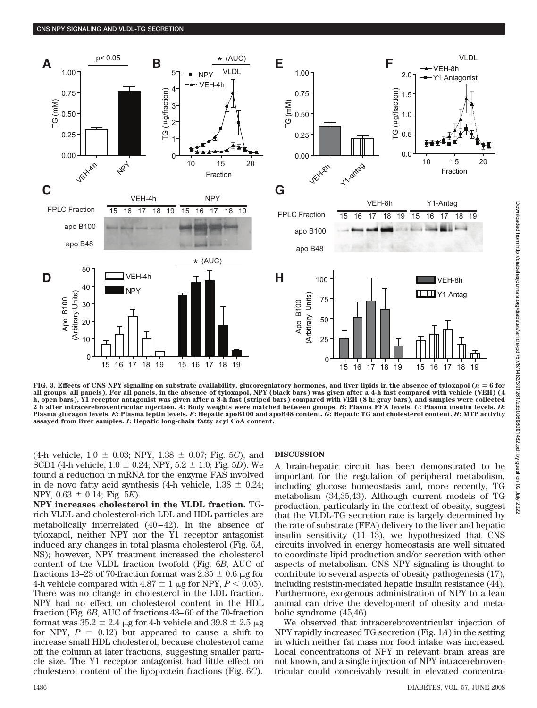

FIG. 3. Effects of CNS NPY signaling on substrate availability, glucoregulatory hormones, and liver lipids in the absence of tyloxapol  $(n = 6$  for **all groups, all panels). For all panels, in the absence of tyloxapol, NPY (black bars) was given after a 4-h fast compared with vehicle (VEH) (4 h, open bars), Y1 receptor antagonist was given after a 8-h fast (striped bars) compared with VEH (8 h; gray bars), and samples were collected 2 h after intracerebroventricular injection.** *A***: Body weights were matched between groups.** *B***: Plasma FFA levels.** *C***: Plasma insulin levels.** *D***: Plasma glucagon levels.** *E***: Plasma leptin levels.** *F***: Hepatic apoB100 and apoB48 content.** *G***: Hepatic TG and cholesterol content.** *H***: MTP activity assayed from liver samples.** *I***: Hepatic long-chain fatty acyl CoA content.**

 $(4-h)$  vehicle,  $1.0 \pm 0.03$ ; NPY,  $1.38 \pm 0.07$ ; Fig. 5*C*), and SCD1 (4-h vehicle,  $1.0 \pm 0.24$ ; NPY,  $5.2 \pm 1.0$ ; Fig. 5*D*). We found a reduction in mRNA for the enzyme FAS involved in de novo fatty acid synthesis (4-h vehicle,  $1.38 \pm 0.24$ ; NPY,  $0.63 \pm 0.14$ ; Fig. 5*E*).

**NPY increases cholesterol in the VLDL fraction.** TGrich VLDL and cholesterol-rich LDL and HDL particles are metabolically interrelated  $(40-42)$ . In the absence of tyloxapol, neither NPY nor the Y1 receptor antagonist induced any changes in total plasma cholesterol (Fig. 6*A*, NS); however, NPY treatment increased the cholesterol content of the VLDL fraction twofold (Fig. 6*B*, AUC of fractions 13–23 of 70-fraction format was 2.35  $\pm$  0.6 µg for 4-h vehicle compared with  $4.87 \pm 1$  µg for NPY,  $P < 0.05$ ). There was no change in cholesterol in the LDL fraction. NPY had no effect on cholesterol content in the HDL fraction (Fig. 6*B*, AUC of fractions 43– 60 of the 70-fraction format was  $35.2 \pm 2.4$  µg for 4-h vehicle and  $39.8 \pm 2.5$  µg for NPY,  $P = 0.12$ ) but appeared to cause a shift to increase small HDL cholesterol, because cholesterol came off the column at later fractions, suggesting smaller particle size. The Y1 receptor antagonist had little effect on cholesterol content of the lipoprotein fractions (Fig. 6*C*).

## **DISCUSSION**

A brain-hepatic circuit has been demonstrated to be important for the regulation of peripheral metabolism, including glucose homeostasis and, more recently, TG metabolism (34,35,43). Although current models of TG production, particularly in the context of obesity, suggest that the VLDL-TG secretion rate is largely determined by the rate of substrate (FFA) delivery to the liver and hepatic insulin sensitivity (11–13), we hypothesized that CNS circuits involved in energy homeostasis are well situated to coordinate lipid production and/or secretion with other aspects of metabolism. CNS NPY signaling is thought to contribute to several aspects of obesity pathogenesis (17), including resistin-mediated hepatic insulin resistance (44). Furthermore, exogenous administration of NPY to a lean animal can drive the development of obesity and metabolic syndrome (45,46).

We observed that intracerebroventricular injection of NPY rapidly increased TG secretion (Fig. 1*A*) in the setting in which neither fat mass nor food intake was increased. Local concentrations of NPY in relevant brain areas are not known, and a single injection of NPY intracerebroventricular could conceivably result in elevated concentra-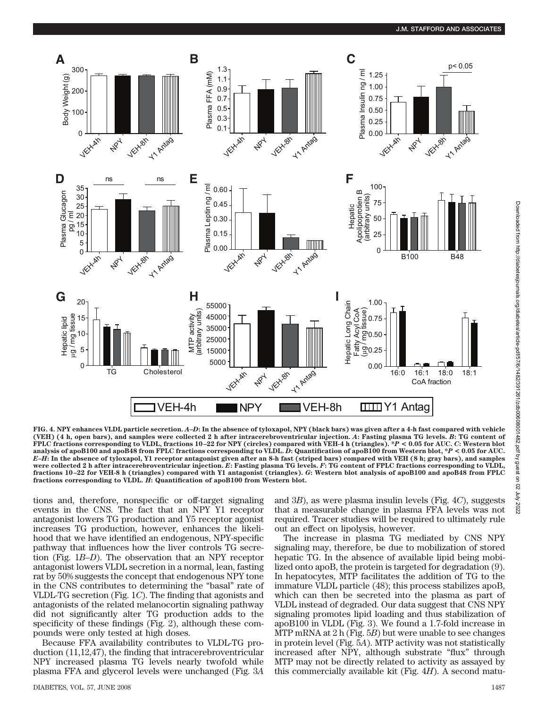

**FIG. 4. NPY enhances VLDL particle secretion.** *A***–***D***: In the absence of tyloxapol, NPY (black bars) was given after a 4-h fast compared with vehicle (VEH) (4 h, open bars), and samples were collected 2 h after intracerebroventricular injection.** *A***: Fasting plasma TG levels.** *B***: TG content of FPLC fractions corresponding to VLDL, fractions 10–22 for NPY (circles) compared with VEH-4 h (triangles). \****P* **< 0.05 for AUC.** *C***: Western blot analysis of apoB100 and apoB48 from FPLC fractions corresponding to VLDL.** *D***: Quantification of apoB100 from Western blot, \****P* **< 0.05 for AUC.** *E–H***: In the absence of tyloxapol, Y1 receptor antagonist given after an 8-h fast (striped bars) compared with VEH (8 h; gray bars), and samples were collected 2 h after intracerebroventricular injection.** *E***: Fasting plasma TG levels.** *F***: TG content of FPLC fractions corresponding to VLDL, fractions 10–22 for VEH-8 h (triangles) compared with Y1 antagonist (triangles).** *G***: Western blot analysis of apoB100 and apoB48 from FPLC fractions corresponding to VLDL.** *H***: Quantification of apoB100 from Western blot.**

tions and, therefore, nonspecific or off-target signaling events in the CNS. The fact that an NPY Y1 receptor antagonist lowers TG production and Y5 receptor agonist increases TG production, however, enhances the likelihood that we have identified an endogenous, NPY-specific pathway that influences how the liver controls TG secretion (Fig. 1*B*–*D*). The observation that an NPY receptor antagonist lowers VLDL secretion in a normal, lean, fasting rat by 50% suggests the concept that endogenous NPY tone in the CNS contributes to determining the "basal" rate of VLDL-TG secretion (Fig. 1*C*). The finding that agonists and antagonists of the related melanocortin signaling pathway did not significantly alter TG production adds to the specificity of these findings (Fig. 2), although these compounds were only tested at high doses.

Because FFA availability contributes to VLDL-TG production (11,12,47), the finding that intracerebroventricular NPY increased plasma TG levels nearly twofold while plasma FFA and glycerol levels were unchanged (Fig. 3*A* and 3*B*), as were plasma insulin levels (Fig. 4*C*), suggests that a measurable change in plasma FFA levels was not required. Tracer studies will be required to ultimately rule out an effect on lipolysis, however.

The increase in plasma TG mediated by CNS NPY signaling may, therefore, be due to mobilization of stored hepatic TG. In the absence of available lipid being mobilized onto apoB, the protein is targeted for degradation (9). In hepatocytes, MTP facilitates the addition of TG to the immature VLDL particle (48); this process stabilizes apoB, which can then be secreted into the plasma as part of VLDL instead of degraded. Our data suggest that CNS NPY signaling promotes lipid loading and thus stabilization of apoB100 in VLDL (Fig. 3). We found a 1.7-fold increase in MTP mRNA at 2 h (Fig. 5*B*) but were unable to see changes in protein level (Fig. 5*A*). MTP activity was not statistically increased after NPY, although substrate "flux" through MTP may not be directly related to activity as assayed by this commercially available kit (Fig. 4*H*). A second matu-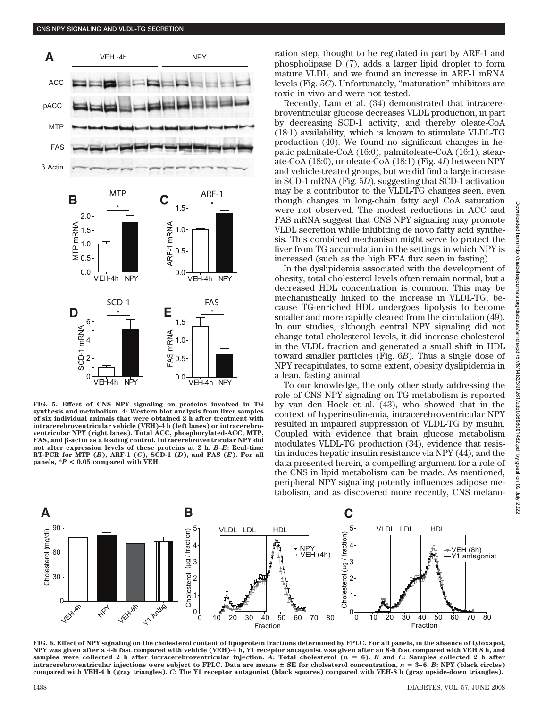

**FIG. 5. Effect of CNS NPY signaling on proteins involved in TG synthesis and metabolism.** *A***: Western blot analysis from liver samples of six individual animals that were obtained 2 h after treatment with intracerebroventricular vehicle (VEH)-4 h (left lanes) or intracerebroventricular NPY (right lanes). Total ACC, phosphorylated-ACC, MTP, FAS, and -actin as a loading control. Intracerebroventricular NPY did not alter expression levels of these proteins at 2 h.** *B–E***: Real-time RT-PCR for MTP (***B***), ARF-1 (***C***), SCD-1 (***D***), and FAS (***E***). For all panels, \****P* **< 0.05 compared with VEH.**

ration step, thought to be regulated in part by ARF-1 and phospholipase D (7), adds a larger lipid droplet to form mature VLDL, and we found an increase in ARF-1 mRNA levels (Fig. 5*C*). Unfortunately, "maturation" inhibitors are toxic in vivo and were not tested.

Recently, Lam et al. (34) demonstrated that intracerebroventricular glucose decreases VLDL production, in part by decreasing SCD-1 activity, and thereby oleate-CoA (18:1) availability, which is known to stimulate VLDL-TG production (40). We found no significant changes in hepatic palmitate-CoA (16:0), palmitoleate-CoA (16:1), stearate-CoA (18:0), or oleate-CoA (18:1) (Fig. 4*I*) between NPY and vehicle-treated groups, but we did find a large increase in SCD-1 mRNA (Fig. 5*D*), suggesting that SCD-1 activation may be a contributor to the VLDL-TG changes seen, even though changes in long-chain fatty acyl CoA saturation were not observed. The modest reductions in ACC and FAS mRNA suggest that CNS NPY signaling may promote VLDL secretion while inhibiting de novo fatty acid synthesis. This combined mechanism might serve to protect the liver from TG accumulation in the settings in which NPY is increased (such as the high FFA flux seen in fasting).

In the dyslipidemia associated with the development of obesity, total cholesterol levels often remain normal, but a decreased HDL concentration is common. This may be mechanistically linked to the increase in VLDL-TG, because TG-enriched HDL undergoes lipolysis to become smaller and more rapidly cleared from the circulation (49). In our studies, although central NPY signaling did not change total cholesterol levels, it did increase cholesterol in the VLDL fraction and generated a small shift in HDL toward smaller particles (Fig. 6*B*). Thus a single dose of NPY recapitulates, to some extent, obesity dyslipidemia in a lean, fasting animal.

To our knowledge, the only other study addressing the role of CNS NPY signaling on TG metabolism is reported by van den Hoek et al. (43), who showed that in the context of hyperinsulinemia, intracerebroventricular NPY resulted in impaired suppression of VLDL-TG by insulin. Coupled with evidence that brain glucose metabolism modulates VLDL-TG production (34), evidence that resistin induces hepatic insulin resistance via NPY (44), and the data presented herein, a compelling argument for a role of the CNS in lipid metabolism can be made. As mentioned, peripheral NPY signaling potently influences adipose metabolism, and as discovered more recently, CNS melano-



**FIG. 6. Effect of NPY signaling on the cholesterol content of lipoprotein fractions determined by FPLC. For all panels, in the absence of tyloxapol, NPY was given after a 4-h fast compared with vehicle (VEH)-4 h, Y1 receptor antagonist was given after an 8-h fast compared with VEH 8 h, and** samples were collected 2 h after intracerebroventricular injection. A: Total cholesterol  $(n = 6)$ . *B* and *C*: Samples collected 2 h after **intracerebroventricular injections were subject to FPLC. Data are means**  $\pm$  **SE for cholesterol concentration,**  $n = 3-6$ **. B: NPY (black circles) compared with VEH-4 h (gray triangles).** *C***: The Y1 receptor antagonist (black squares) compared with VEH-8 h (gray upside-down triangles).**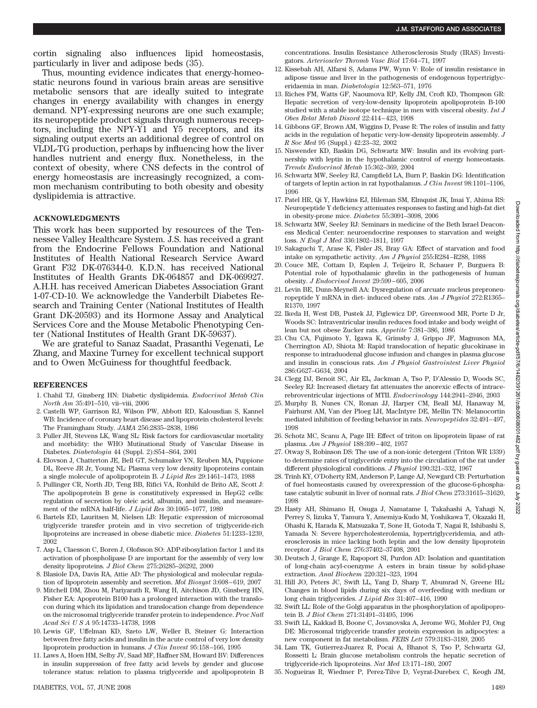cortin signaling also influences lipid homeostasis, particularly in liver and adipose beds (35).

Thus, mounting evidence indicates that energy-homeostatic neurons found in various brain areas are sensitive metabolic sensors that are ideally suited to integrate changes in energy availability with changes in energy demand. NPY-expressing neurons are one such example; its neuropeptide product signals through numerous receptors, including the NPY-Y1 and Y5 receptors, and its signaling output exerts an additional degree of control on VLDL-TG production, perhaps by influencing how the liver handles nutrient and energy flux. Nonetheless, in the context of obesity, where CNS defects in the control of energy homeostasis are increasingly recognized, a common mechanism contributing to both obesity and obesity dyslipidemia is attractive.

## **ACKNOWLEDGMENTS**

This work has been supported by resources of the Tennessee Valley Healthcare System. J.S. has received a grant from the Endocrine Fellows Foundation and National Institutes of Health National Research Service Award Grant F32 DK-076344-0. K.D.N. has received National Institutes of Health Grants DK-064857 and DK-069927. A.H.H. has received American Diabetes Association Grant 1-07-CD-10. We acknowledge the Vanderbilt Diabetes Research and Training Center (National Institutes of Health Grant DK-20593) and its Hormone Assay and Analytical Services Core and the Mouse Metabolic Phenotyping Center (National Institutes of Health Grant DK-59637).

We are grateful to Sanaz Saadat, Prasanthi Vegenati, Le Zhang, and Maxine Turney for excellent technical support and to Owen McGuiness for thoughtful feedback.

#### **REFERENCES**

- 1. Chahil TJ, Ginsberg HN: Diabetic dyslipidemia. *Endocrinol Metab Clin North Am* 35:491–510, vii–viii, 2006
- 2. Castelli WP, Garrison RJ, Wilson PW, Abbott RD, Kalousdian S, Kannel WB: Incidence of coronary heart disease and lipoprotein cholesterol levels: The Framingham Study. *JAMA* 256:2835–2838, 1986
- 3. Fuller JH, Stevens LK, Wang SL: Risk factors for cardiovascular mortality and morbidity: the WHO Mutinational Study of Vascular Disease in Diabetes. *Diabetologia* 44 (Suppl. 2):S54 –S64, 2001
- 4. Elovson J, Chatterton JE, Bell GT, Schumaker VN, Reuben MA, Puppione DL, Reeve JR Jr, Young NL: Plasma very low density lipoproteins contain a single molecule of apolipoprotein B. *J Lipid Res* 29:1461–1473, 1988
- 5. Pullinger CR, North JD, Teng BB, Rifici VA, Ronhild de Brito AE, Scott J: The apolipoprotein B gene is constitutively expressed in HepG2 cells: regulation of secretion by oleic acid, albumin, and insulin, and measurement of the mRNA half-life. *J Lipid Res* 30:1065–1077, 1989
- 6. Bartels ED, Lauritsen M, Nielsen LB: Hepatic expression of microsomal triglyceride transfer protein and in vivo secretion of triglyceride-rich lipoproteins are increased in obese diabetic mice. *Diabetes* 51:1233–1239, 2002
- 7. Asp L, Claesson C, Boren J, Olofsson SO: ADP-ribosylation factor 1 and its activation of phospholipase D are important for the assembly of very low density lipoproteins. *J Biol Chem* 275:26285–26292, 2000
- 8. Blasiole DA, Davis RA, Attie AD: The physiological and molecular regulation of lipoprotein assembly and secretion. *Mol Biosyst* 3:608 – 619, 2007
- 9. Mitchell DM, Zhou M, Pariyarath R, Wang H, Aitchison JD, Ginsberg HN, Fisher EA: Apoprotein B100 has a prolonged interaction with the translocon during which its lipidation and translocation change from dependence on the microsomal triglyceride transfer protein to independence. *Proc Natl Acad SciUSA* 95:14733–14738, 1998
- 10. Lewis GF, Uffelman KD, Szeto LW, Weller B, Steiner G: Interaction between free fatty acids and insulin in the acute control of very low density lipoprotein production in humans. *J Clin Invest* 95:158 –166, 1995
- 11. Laws A, Hoen HM, Selby JV, Saad MF, Haffner SM, Howard BV: Differences in insulin suppression of free fatty acid levels by gender and glucose tolerance status: relation to plasma triglyceride and apolipoprotein B

concentrations. Insulin Resistance Atherosclerosis Study (IRAS) Investigators. *Arterioscler Thromb Vasc Biol* 17:64 –71, 1997

- 12. Kissebah AH, Alfarsi S, Adams PW, Wynn V: Role of insulin resistance in adipose tissue and liver in the pathogenesis of endogenous hypertriglyceridaemia in man. *Diabetologia* 12:563–571, 1976
- 13. Riches FM, Watts GF, Naoumova RP, Kelly JM, Croft KD, Thompson GR: Hepatic secretion of very-low-density lipoprotein apolipoprotein B-100 studied with a stable isotope technique in men with visceral obesity. *Int J Obes Relat Metab Disord* 22:414 – 423, 1998
- 14. Gibbons GF, Brown AM, Wiggins D, Pease R: The roles of insulin and fatty acids in the regulation of hepatic very-low-density lipoprotein assembly. *J R Soc Med* 95 (Suppl.) 42:23–32, 2002
- 15. Niswender KD, Baskin DG, Schwartz MW: Insulin and its evolving partnership with leptin in the hypothalamic control of energy homeostasis. *Trends Endocrinol Metab* 15:362–369, 2004
- 16. Schwartz MW, Seeley RJ, Campfield LA, Burn P, Baskin DG: Identification of targets of leptin action in rat hypothalamus. *J Clin Invest* 98:1101–1106, 1996
- 17. Patel HR, Qi Y, Hawkins EJ, Hileman SM, Elmquist JK, Imai Y, Ahima RS: Neuropeptide Y deficiency attenuates responses to fasting and high-fat diet in obesity-prone mice. *Diabetes* 55:3091–3098, 2006
- 18. Schwartz MW, Seeley RJ: Seminars in medicine of the Beth Israel Deaconess Medical Center: neuroendocrine responses to starvation and weight loss. *N Engl J Med* 336:1802–1811, 1997
- 19. Sakaguchi T, Arase K, Fisler JS, Bray GA: Effect of starvation and food intake on sympathetic activity. *Am J Physiol* 255:R284 –R288, 1988
- 20. Couce ME, Cottam D, Esplen J, Teijeiro R, Schauer P, Burguera B: Potential role of hypothalamic ghrelin in the pathogenesis of human obesity. *J Endocrinol Invest* 29:599 – 605, 2006
- 21. Levin BE, Dunn-Meynell AA: Dysregulation of arcuate nucleus preproneuropeptide Y mRNA in diet- induced obese rats. *Am J Physiol* 272:R1365– R1370, 1997
- 22. Ikeda H, West DB, Pustek JJ, Figlewicz DP, Greenwood MR, Porte D Jr, Woods SC: Intraventricular insulin reduces food intake and body weight of lean but not obese Zucker rats. *Appetite* 7:381–386, 1986
- 23. Chu CA, Fujimoto Y, Igawa K, Grimsby J, Grippo JF, Magnuson MA, Cherrington AD, Shiota M: Rapid translocation of hepatic glucokinase in response to intraduodenal glucose infusion and changes in plasma glucose and insulin in conscious rats. *Am J Physiol Gastrointest Liver Physiol* 286:G627–G634, 2004
- 24. Clegg DJ, Benoit SC, Air EL, Jackman A, Tso P, D'Alessio D, Woods SC, Seeley RJ: Increased dietary fat attenuates the anorexic effects of intracerebroventricular injections of MTII. *Endocrinology* 144:2941–2946, 2003
- 25. Murphy B, Nunes CN, Ronan JJ, Harper CM, Beall MJ, Hanaway M, Fairhurst AM, Van der Ploeg LH, MacIntyre DE, Mellin TN: Melanocortin mediated inhibition of feeding behavior in rats. *Neuropeptides* 32:491– 497, 1998
- 26. Schotz MC, Scanu A, Page IH: Effect of triton on lipoprotein lipase of rat plasma. *Am J Physiol* 188:399 – 402, 1957
- 27. Otway S, Robinson DS: The use of a non-ionic detergent (Triton WR 1339) to determine rates of triglyceride entry into the circulation of the rat under different physiological conditions. *J Physiol* 190:321–332, 1967
- 28. Trinh KY, O'Doherty RM, Anderson P, Lange AJ, Newgard CB: Perturbation of fuel homeostasis caused by overexpression of the glucose-6-phosphatase catalytic subunit in liver of normal rats. *J Biol Chem* 273:31615–31620, 1998
- 29. Hasty AH, Shimano H, Osuga J, Namatame I, Takahashi A, Yahagi N, Perrey S, Iizuka Y, Tamura Y, Amemiya-Kudo M, Yoshikawa T, Okazaki H, Ohashi K, Harada K, Matsuzaka T, Sone H, Gotoda T, Nagai R, Ishibashi S, Yamada N: Severe hypercholesterolemia, hypertriglyceridemia, and atherosclerosis in mice lacking both leptin and the low density lipoprotein receptor. *J Biol Chem* 276:37402–37408, 2001
- 30. Deutsch J, Grange E, Rapoport SI, Purdon AD: Isolation and quantitation of long-chain acyl-coenzyme A esters in brain tissue by solid-phase extraction. *Anal Biochem* 220:321–323, 1994
- 31. Hill JO, Peters JC, Swift LL, Yang D, Sharp T, Abumrad N, Greene HL: Changes in blood lipids during six days of overfeeding with medium or long chain triglycerides. *J Lipid Res* 31:407– 416, 1990
- 32. Swift LL: Role of the Golgi apparatus in the phosphorylation of apolipoprotein B. *J Biol Chem* 271:31491–31495, 1996
- 33. Swift LL, Kakkad B, Boone C, Jovanovska A, Jerome WG, Mohler PJ, Ong DE: Microsomal triglyceride transfer protein expression in adipocytes: a new component in fat metabolism. *FEBS Lett* 579:3183–3189, 2005
- 34. Lam TK, Gutierrez-Juarez R, Pocai A, Bhanot S, Tso P, Schwartz GJ, Rossetti L: Brain glucose metabolism controls the hepatic secretion of triglyceride-rich lipoproteins. *Nat Med* 13:171–180, 2007
- 35. Nogueiras R, Wiedmer P, Perez-Tilve D, Veyrat-Durebex C, Keogh JM,